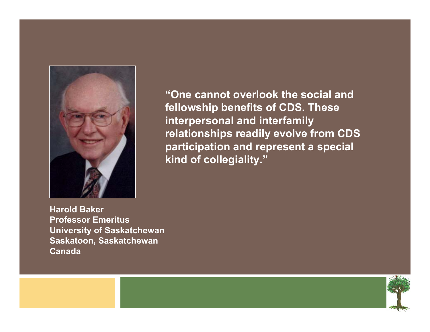

**"One cannot overlook the social and fellowship benefits of CDS. These interpersonal and interfamily relationships readily evolve from CDS participation and represent a special kind of collegiality."**

**Harold Baker Professor EmeritusUniversity of Saskatchewan Saskatoon, Saskatchewan Canada**

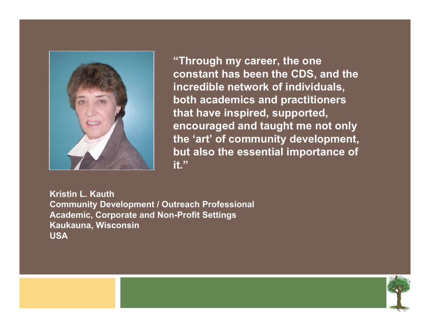

**"Through my career, the one constant has been the CDS, and the incredible network of individuals, both academics and practitioners that have inspired, supported, encouraged and taught me not only the 'art' of community development, but also the essential importance of it."**

**Kristin L. KauthCommunity Development / Outreach Professional Academic, Corporate and Non-Profit Settings Kaukauna, Wisconsin USA**

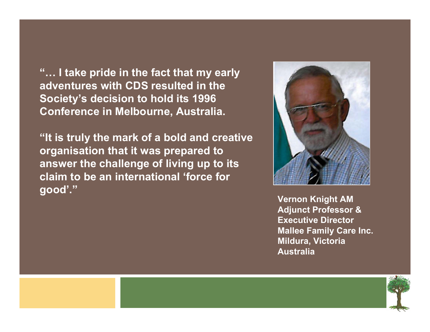**"… I take pride in the fact that my early adventures with CDS resulted in the Society's decision to hold its 1996 Conference in Melbourne, Australia.** 

**"It is truly the mark of a bold and creative organisation that it was prepared to answer the challenge of living up to its claim to be an international 'force for good'."**



**Vernon Knight AM Adjunct Professor & Executive DirectorMallee Family Care Inc. Mildura, Victoria Australia**

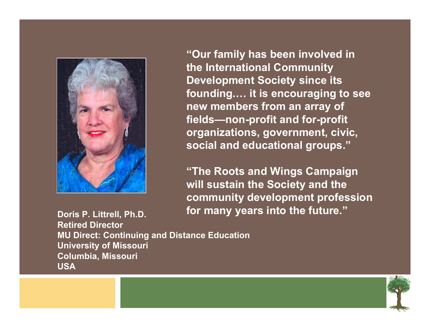

**"Our family has been involved in the International Community Development Society since its founding.… it is encouraging to see new members from an array of fields—non-profit and for-profit organizations, government, civic, social and educational groups."**

**"The Roots and Wings Campaign will sustain the Society and the community development profession for many years into the future."**

**Doris P. Littrell, Ph.D. Retired Director MU Direct: Continuing and Distance Education University of Missouri Columbia, Missouri USA**

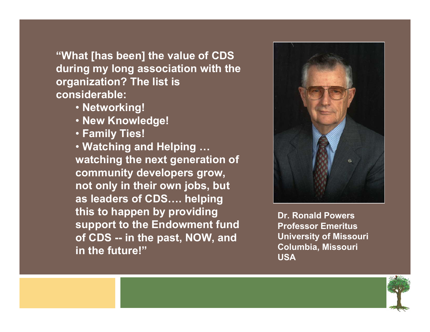**"What [has been] the value of CDS during my long association with the organization? The list is considerable:**

- **Networking!**
- **New Knowledge!**
- **Family Ties!**

• **Watching and Helping … watching the next generation of community developers grow, not only in their own jobs, but as leaders of CDS…. helping this to happen by providing support to the Endowment fund of CDS -- in the past, NOW, and in the future!"**



**Dr. Ronald PowersProfessor EmeritusUniversity of Missouri Columbia, Missouri USA**